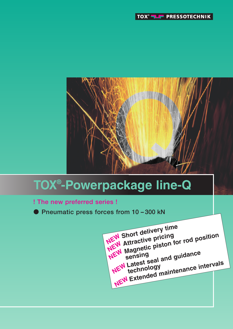



# **TOX® -Powerpackage line-Q**

- **! The new preferred series !**
- **Pneumatic press forces from 10 – 300 kN**

**Short delivery time Attractive pricing**<br> **NEW** Attractive pricing **Magnetic piston for rod position sensing Latest seal and guidance NEW Latest Cogy Extended maintenance intervals NEW NEW NEW**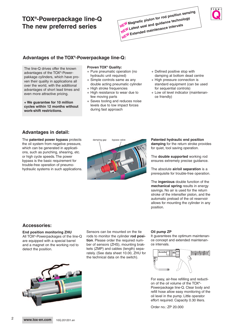# **TOX®-Powerpackage line-Q The new preferred series**

# **Advantages of the TOX®-Powerpackage line-Q:**

The line-Q drives offer the known advantages of the TOX®-Powerpakkage cylinders, which have proven their quality in applications all over the world, with the additional advantages of short lead times and even more attractive pricing.

**+ We guarantee for 10 million cycles within 12 months without work-shift restrictions.**

#### **Proven TOX® Quality:**

- + Pure pneumatic operation (no hydraulic unit required)
- + Simple controls same as any double acting pneumatic cylinder
- + High stroke frequencies
- + High resistance to wear due to few moving parts
- + Saves tooling and reduces noise levels due to low impact forces during fast approach
- + Defined positive stop with damping at bottom dead centre
- + High pressure connection is standard equipment (can be used for sequential controls)

**Q l i n e -**

+ Low oil level indicator (maintenance friendly)

## **Advantages in detail:**

The **patented power bypass** protects the oil system from negative pressure, which can be generated in applications, such as punching, shearing, etc. or high cycle speeds. The power bypass is the basic requirement for trouble-free operation of pneumohydraulic systems in such applications.



#### **Patented hydraulic end position**

**damping** for the return stroke provides for quiet, tool saving operation.

The **double supported** working rod ensures extremely precise guidance.

The absolute **air/oil separation** is a prerequisite for trouble-free operation.

The **ingenious** double function of the **mechanical spring** results in energy savings. No air is used for the return stroke of the intensifier piston, and the automatic preload of the oil reservoir allows for mounting the cylinder in any position.

## **Accessories:**

**End position monitoring ZHU** All TOX®-Powerpackages of the line-Q are equipped with a special barrel and a magnet on the working rod to detect the position.

Sensors can be mounted on the tie rods to monitor the cylinder **rod position**. Please order the required number of sensors (ZHS), mounting brakkets (ZMP) and cables (length) separately. (See data sheet 10.00, ZHU for the technical data on the switch).



It guarantees the optimum maintenance concept and extended maintenance intervals.



For easy, air-free refilling and reduction of the oil volume of the TOX®- Powerpackage line-Q. Clear body and refill hose allow easy monitoring of the oil level in the pump. Little operator effort required. Capacity 0.30 liters.

Order no.: ZP 20.000



 $\mathfrak{p}$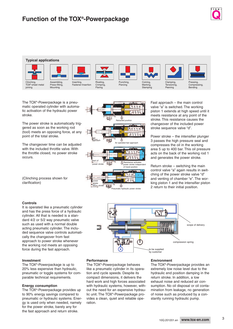



The TOX®-Powerpackage is a pneumatic operated cylinder with automatic activation of the hydraulic power stroke.

The power stroke is automatically triggered as soon as the working rod (tool) meets an opposing force, at any point of the total stroke.

The changeover time can be adjusted with the included throttle valve. With the throttle closed, no power stroke occurs.

(Clinching process shown for clarification)

#### 1  $\frac{1}{4}$  $\phi$ Retracted position 109999 700 fast é 网内 approach Air operated fast approach 1 **LA N NC** start of Resistance activates power stroke independent power stroke power stroke ind<br>of travel position e power stroke 四 **return** stroke A

Pneumatic hydraulic power stroke

Fast approach – the main control valve "a" is switched. The working piston 1 extends at high speed until it meets resistance at any point of the stroke. This resistance causes the changeover of the included power stroke sequence valve "d".

Power stroke – the intensifier plunger 3 passes the high pressure seal and compresses the oil in the working area 5 up to 400 bar. This oil pressure acts on the back of the working rod 1 and generates the power stroke.

Return stroke – switching the main control valve "a" again results in switching of the power stroke valve "d" and venting of chamber "e". The working piston 1 and the intensifier piston 2 return to their initial position.

#### **Controls**

It is operated like a pneumatic cylinder and has the press force of a hydraulic cylinder. All that is needed is a standard 4/2 or 5/2 way pneumatic valve such as used with a normal double acting pneumatic cylinder. The included sequence valve controls automatically the changeover from fast approach to power stroke whenever the working rod meets an opposing force during the fast approach.

#### **Investment**

The TOX®-Powerpackage is up to 20% less expensive than hydraulic, pneumatic or toggle systems for comparable technical requirements.

#### **Energy consumption**

The TOX®-Powerpackage provides up to 90% energy savings compared to pneumatic or hydraulic systems. Energy is used only when needed, namely for the power stroke, barely any for the fast approach and return stroke.



#### **Performance**

The TOX®-Powerpackage behaves like a pneumatic cylinder in its operation and cycle speeds. Despite its compact dimensions, it delivers the hard work and high forces associated with hydraulic systems, however, without the need for an expensive hydraulic unit. The TOX®-Powerpackage provides a clean, quiet and reliable operation.

#### **Environment**

The TOX®-Powerpackage provides an extremely low noise level due to the hydraulic end position damping in the return stroke. In addition, a low exhaust noise and reduced air consumption. No oil disposal or oil contamination from leakage, no generation of noise such as produced by a constantly running hydraulic pump.